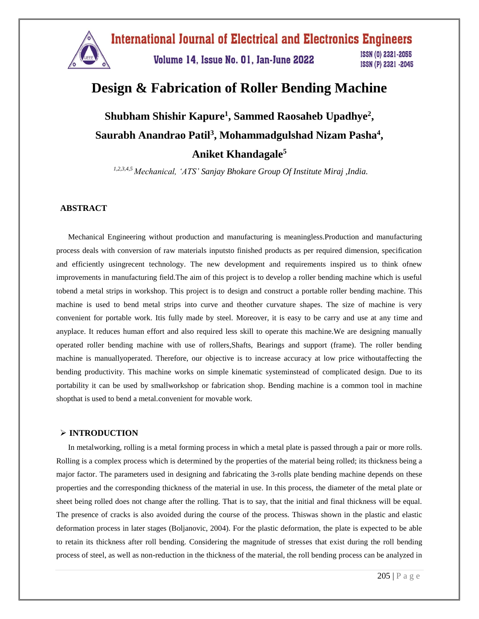

# **Design & Fabrication of Roller Bending Machine**

**Shubham Shishir Kapure<sup>1</sup> , Sammed Raosaheb Upadhye<sup>2</sup> , Saurabh Anandrao Patil<sup>3</sup> , Mohammadgulshad Nizam Pasha<sup>4</sup> , Aniket Khandagale<sup>5</sup>**

*1,2,3,4,5 Mechanical, 'ATS' Sanjay Bhokare Group Of Institute Miraj ,India.*

#### **ABSTRACT**

Mechanical Engineering without production and manufacturing is meaningless.Production and manufacturing process deals with conversion of raw materials inputsto finished products as per required dimension, specification and efficiently usingrecent technology. The new development and requirements inspired us to think ofnew improvements in manufacturing field.The aim of this project is to develop a roller bending machine which is useful tobend a metal strips in workshop. This project is to design and construct a portable roller bending machine. This machine is used to bend metal strips into curve and theother curvature shapes. The size of machine is very convenient for portable work. Itis fully made by steel. Moreover, it is easy to be carry and use at any time and anyplace. It reduces human effort and also required less skill to operate this machine.We are designing manually operated roller bending machine with use of rollers,Shafts, Bearings and support (frame). The roller bending machine is manuallyoperated. Therefore, our objective is to increase accuracy at low price withoutaffecting the bending productivity. This machine works on simple kinematic systeminstead of complicated design. Due to its portability it can be used by smallworkshop or fabrication shop. Bending machine is a common tool in machine shopthat is used to bend a metal.convenient for movable work.

#### **INTRODUCTION**

In metalworking, rolling is a metal forming process in which a metal plate is passed through a pair or more rolls. Rolling is a complex process which is determined by the properties of the material being rolled; its thickness being a major factor. The parameters used in designing and fabricating the 3-rolls plate bending machine depends on these properties and the corresponding thickness of the material in use. In this process, the diameter of the metal plate or sheet being rolled does not change after the rolling. That is to say, that the initial and final thickness will be equal. The presence of cracks is also avoided during the course of the process. Thiswas shown in the plastic and elastic deformation process in later stages (Boljanovic, 2004). For the plastic deformation, the plate is expected to be able to retain its thickness after roll bending. Considering the magnitude of stresses that exist during the roll bending process of steel, as well as non-reduction in the thickness of the material, the roll bending process can be analyzed in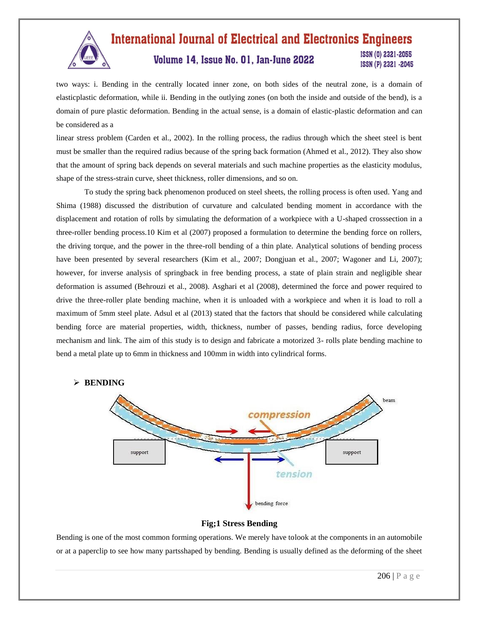

#### **International Journal of Electrical and Electronics Engineers** ISSN (0) 2321-2055 Volume 14, Issue No. 01, Jan-June 2022 ISSN (P) 2321 -2045

two ways: i. Bending in the centrally located inner zone, on both sides of the neutral zone, is a domain of elasticplastic deformation, while ii. Bending in the outlying zones (on both the inside and outside of the bend), is a domain of pure plastic deformation. Bending in the actual sense, is a domain of elastic-plastic deformation and can be considered as a

linear stress problem (Carden et al., 2002). In the rolling process, the radius through which the sheet steel is bent must be smaller than the required radius because of the spring back formation (Ahmed et al., 2012). They also show that the amount of spring back depends on several materials and such machine properties as the elasticity modulus, shape of the stress-strain curve, sheet thickness, roller dimensions, and so on.

To study the spring back phenomenon produced on steel sheets, the rolling process is often used. Yang and Shima (1988) discussed the distribution of curvature and calculated bending moment in accordance with the displacement and rotation of rolls by simulating the deformation of a workpiece with a U-shaped crosssection in a three-roller bending process.10 Kim et al (2007) proposed a formulation to determine the bending force on rollers, the driving torque, and the power in the three-roll bending of a thin plate. Analytical solutions of bending process have been presented by several researchers (Kim et al., 2007; Dongjuan et al., 2007; Wagoner and Li, 2007); however, for inverse analysis of springback in free bending process, a state of plain strain and negligible shear deformation is assumed (Behrouzi et al., 2008). Asghari et al (2008), determined the force and power required to drive the three-roller plate bending machine, when it is unloaded with a workpiece and when it is load to roll a maximum of 5mm steel plate. Adsul et al (2013) stated that the factors that should be considered while calculating bending force are material properties, width, thickness, number of passes, bending radius, force developing mechanism and link. The aim of this study is to design and fabricate a motorized 3- rolls plate bending machine to bend a metal plate up to 6mm in thickness and 100mm in width into cylindrical forms*.*



# **Fig;1 Stress Bending**

Bending is one of the most common forming operations. We merely have tolook at the components in an automobile or at a paperclip to see how many partsshaped by bending. Bending is usually defined as the deforming of the sheet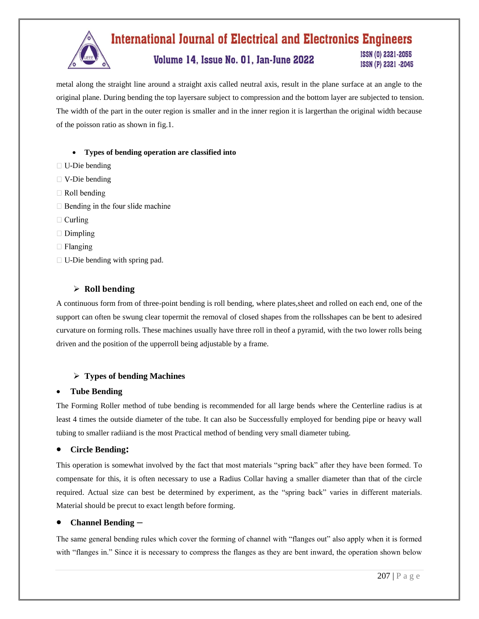

metal along the straight line around a straight axis called neutral axis, result in the plane surface at an angle to the original plane. During bending the top layersare subject to compression and the bottom layer are subjected to tension. The width of the part in the outer region is smaller and in the inner region it is largerthan the original width because of the poisson ratio as shown in fig.1.

#### **Types of bending operation are classified into**

- $\Box$  U-Die bending
- $\Box$  V-Die bending
- $\Box$  Roll bending
- $\Box$  Bending in the four slide machine
- $\Box$  Curling
- $\Box$  Dimpling
- $\Box$  Flanging
- $\Box$  U-Die bending with spring pad.

# **Roll bending**

A continuous form from of three-point bending is roll bending, where plates,sheet and rolled on each end, one of the support can often be swung clear topermit the removal of closed shapes from the rollsshapes can be bent to adesired curvature on forming rolls. These machines usually have three roll in theof a pyramid, with the two lower rolls being driven and the position of the upperroll being adjustable by a frame.

# **Types of bending Machines**

# **Tube Bending**

The Forming Roller method of tube bending is recommended for all large bends where the Centerline radius is at least 4 times the outside diameter of the tube. It can also be Successfully employed for bending pipe or heavy wall tubing to smaller radiiand is the most Practical method of bending very small diameter tubing.

# **Circle Bending:**

This operation is somewhat involved by the fact that most materials "spring back" after they have been formed. To compensate for this, it is often necessary to use a Radius Collar having a smaller diameter than that of the circle required. Actual size can best be determined by experiment, as the "spring back" varies in different materials. Material should be precut to exact length before forming.

# **Channel Bending –**

The same general bending rules which cover the forming of channel with "flanges out" also apply when it is formed with "flanges in." Since it is necessary to compress the flanges as they are bent inward, the operation shown below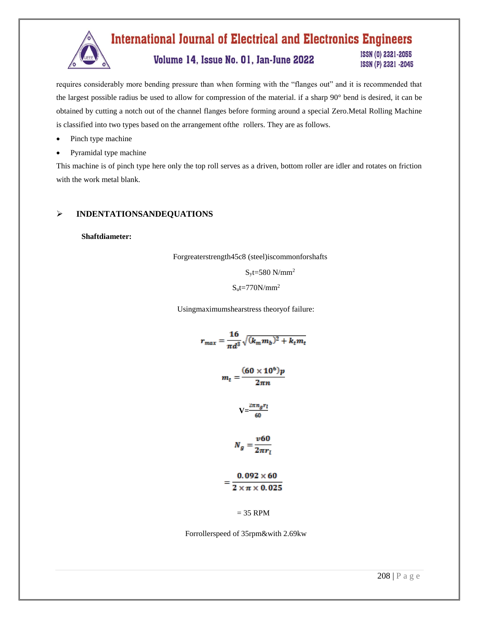

requires considerably more bending pressure than when forming with the "flanges out" and it is recommended that the largest possible radius be used to allow for compression of the material. if a sharp 90° bend is desired, it can be obtained by cutting a notch out of the channel flanges before forming around a special Zero.Metal Rolling Machine is classified into two types based on the arrangement ofthe rollers. They are as follows.

- Pinch type machine
- Pyramidal type machine

This machine is of pinch type here only the top roll serves as a driven, bottom roller are idler and rotates on friction with the work metal blank.

# **INDENTATIONSANDEQUATIONS**

#### **Shaftdiameter:**

Forgreaterstrength45c8 (steel)iscommonforshafts

 $S_vt=580$  N/mm<sup>2</sup>

#### $S<sub>u</sub>$ t=770N/mm<sup>2</sup>

Usingmaximumshearstress theoryof failure:

$$
r_{max} = \frac{16}{\pi d^3} \sqrt{(k_m m_b)^2 + k_t m_t}
$$

$$
m_t = \frac{(60 \times 10^6)p}{2\pi n}
$$

$$
V = \frac{2\pi n_g r_l}{60}
$$

$$
N_g = \frac{v60}{2\pi r_l}
$$

$$
= \frac{0.092 \times 60}{2 \times \pi \times 0.025}
$$

$$
= 35 \text{ RPM}
$$

Forrollerspeed of 35rpm&with 2.69kw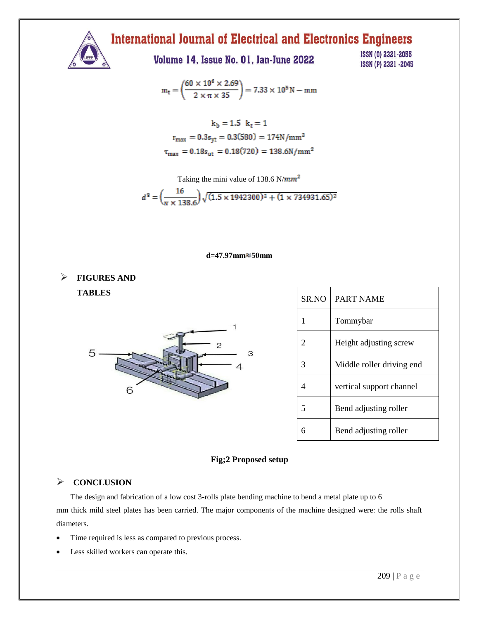

# **International Journal of Electrical and Electronics Engineers**

Volume 14, Issue No. 01, Jan-June 2022

ISSN (0) 2321-2055 ISSN (P) 2321 -2045

$$
m_t=\left(\!\frac{60\times10^6\times2.69}{2\times\pi\times35}\!\right)=7.33\times10^5\,N-mm
$$

$$
k_b = 1.5 \t k_t = 1
$$

$$
r_{max} = 0.3s_{yt} = 0.3(580) = 174N/mm2
$$

$$
\tau_{max} = 0.18s_{ut} = 0.18(720) = 138.6N/mm2
$$

Taking the mini value of 138.6  $N/mm^2$ 

$$
d^{\,3}=\left(\frac{16}{\pi\times138.6}\right)\sqrt{(1.5\times1942300)^2+(1\times734931.65)^2}
$$

# **d=47.97mm 50mm**

 **FIGURES AND TABLES**



| SR NO                       | <b>PART NAME</b>          |
|-----------------------------|---------------------------|
|                             | Tommybar                  |
| $\mathcal{D}_{\mathcal{L}}$ | Height adjusting screw    |
|                             | Middle roller driving end |
|                             | vertical support channel  |
|                             | Bend adjusting roller     |
|                             | Bend adjusting roller     |

# **Fig;2 Proposed setup**

# $\triangleright$  CONCLUSION

The design and fabrication of a low cost 3-rolls plate bending machine to bend a metal plate up to 6 mm thick mild steel plates has been carried. The major components of the machine designed were: the rolls shaft diameters.

- Time required is less as compared to previous process.
- Less skilled workers can operate this.